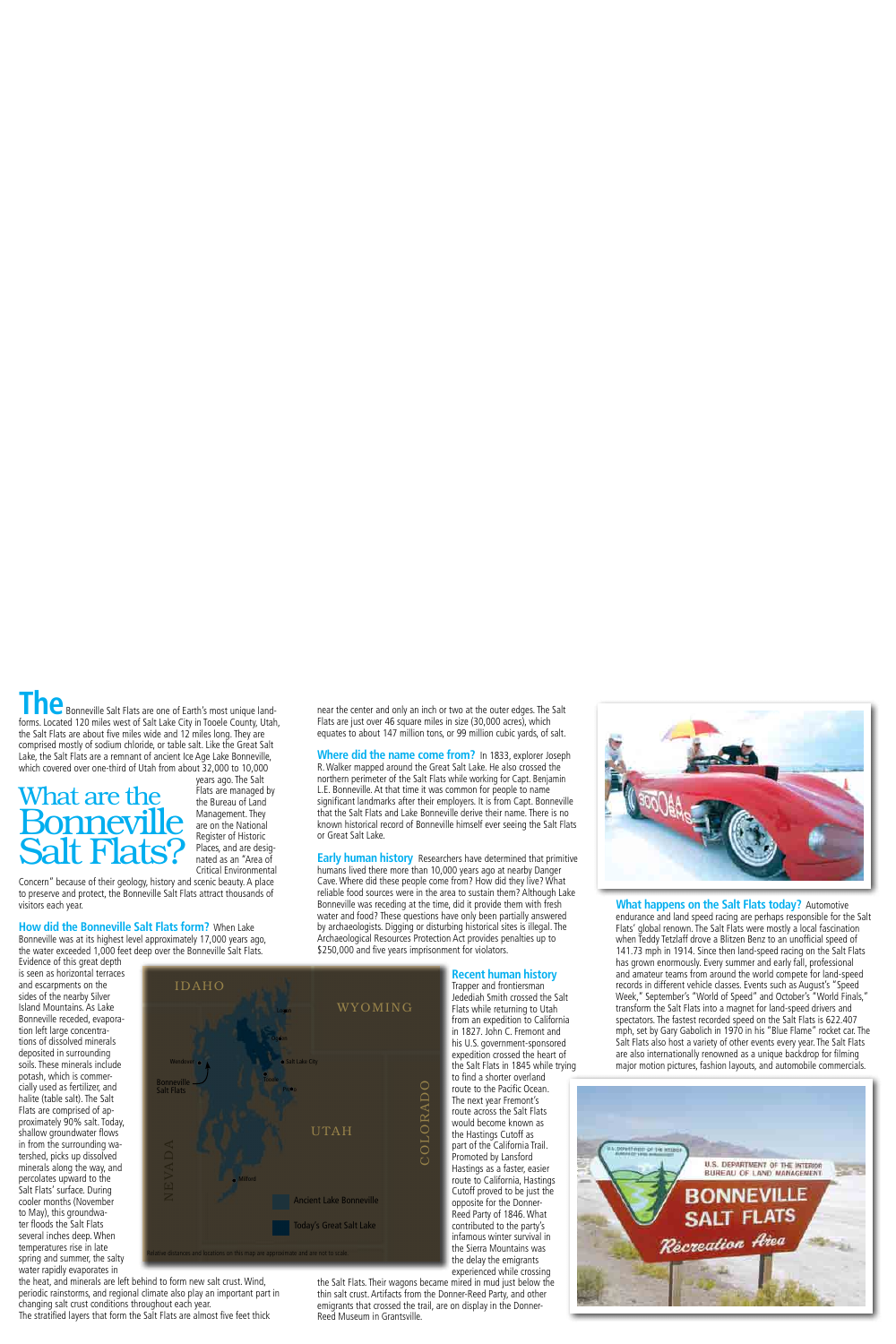**edds** Bonneville Salt Flats are one of Earth's most unique landforms. Located 120 miles west of Salt Lake City in Tooele County, Utah, the Salt Flats are about five miles wide and 12 miles long. They are comprised mostly of sodium chloride, or table salt. Like the Great Salt Lake, the Salt Flats are a remnant of ancient Ice Age Lake Bonneville, which covered over one-third of Utah from about 32,000 to 10,000

# **What are the** *Hats are managed by* the Bureau of Land Bonneville **Salt Flats?**

years ago. The Salt Management. They are on the National Register of Historic Places, and are designated as an "Area of Critical Environmental

Concern" because of their geology, history and scenic beauty. A place to preserve and protect, the Bonneville Salt Flats attract thousands of visitors each year.

#### **How did the Bonneville Salt Flats form?** When Lake Bonneville was at its highest level approximately 17,000 years ago,

the water exceeded 1,000 feet deep over the Bonneville Salt Flats. Evidence of this great depth

is seen as horizontal terraces and escarpments on the  $I\Box$   $I\Box$   $A\Box$ sides of the nearby Silver Island Mountains. As Lake Bonneville receded, evaporation left large concentrations of dissolved minerals deposited in surrounding soils. These minerals include potash, which is commercially used as fertilizer, and halite (table salt). The Salt Flats are comprised of approximately 90% salt. Today. shallow groundwater flows in from the surrounding watershed, picks up dissolved minerals along the way, and percolates upward to the Salt Flats' surface. During cooler months (November to May), this groundwater foods the Salt Flats several inches deep. When temperatures rise in late spring and summer, the salty water rapidly evaporates in



the heat, and minerals are left behind to form new salt crust. Wind, periodic rainstorms, and regional climate also play an important part in changing salt crust conditions throughout each year. The stratified layers that form the Salt Flats are almost five feet thick

near the center and only an inch or two at the outer edges. The Salt Flats are just over 46 square miles in size (30,000 acres), which equates to about 147 million tons, or 99 million cubic vards, of salt.

**Where did the name come from?** In 1833, explorer Joseph R. Walker mapped around the Great Salt Lake. He also crossed the northern perimeter of the Salt Flats while working for Capt. Benjamin L.E. Bonneville. At that time it was common for people to name significant landmarks after their employers. It is from Capt. Bonneville that the Salt Flats and Lake Bonneville derive their name. There is no known historical record of Bonneville himself ever seeing the Salt Flats or Great Salt Lake

**Early human history** Researchers have determined that primitive humans lived there more than 10,000 years ago at nearby Danger Cave. Where did these people come from? How did they live? What reliable food sources were in the area to sustain them? Although Lake Bonneville was receding at the time, did it provide them with fresh water and food? These questions have only been partially answered by archaeologists. Digging or disturbing historical sites is illegal. The Archaeological Resources Protection Act provides penalties up to \$250,000 and five years imprisonment for violators.



the Salt Flats. Their wagons became mired in mud just below the thin salt crust. Artifacts from the Donner-Reed Party, and other emigrants that crossed the trail, are on display in the Donner-Reed Museum in Grantsville.



**What happens on the Salt Flats today?** Automotive endurance and land speed racing are perhaps responsible for the Salt Flats' global renown. The Salt Flats were mostly a local fascination when Teddy Tetzlaff drove a Blitzen Benz to an unofficial speed of 141.73 mph in 1914. Since then land-speed racing on the Salt Flats has grown enormously. Every summer and early fall, professional and amateur teams from around the world compete for land-speed records in different vehicle classes. Events such as August's "Speed Week," September's "World of Speed" and October's "World Finals," transform the Salt Flats into a magnet for land-speed drivers and . spectators The fastest recorded speed on the Salt Flats is 622.407 mph, set by Gary Gabolich in 1970 in his "Blue Flame" rocket car. The Salt Flats also host a variety of other events every year. The Salt Flats are also internationally renowned as a unique backdrop for flming major motion pictures, fashion layouts, and automobile commercials.



#### **Recent human history**

Trapper and frontiersman Jedediah Smith crossed the Salt from an expedition to California in 1827. John C. Fremont and his U.S. government-sponsored<br>expedition crossed the heart of the Salt Flats in 1845 while trying

to find a shorter overland route to the Pacific Ocean. The next year Fremont's route across the Salt Flats would become known as the Hastings Cutoff as part of the California Trail. Promoted by Lansford Hastings as a faster easier , route to California, Hastings Cutoff proved to be just the opposite for the Donner-Reed Party of 1846. What contributed to the party's infamous winter survival in the Sierra Mountains was the delay the emigrants experienced while crossing